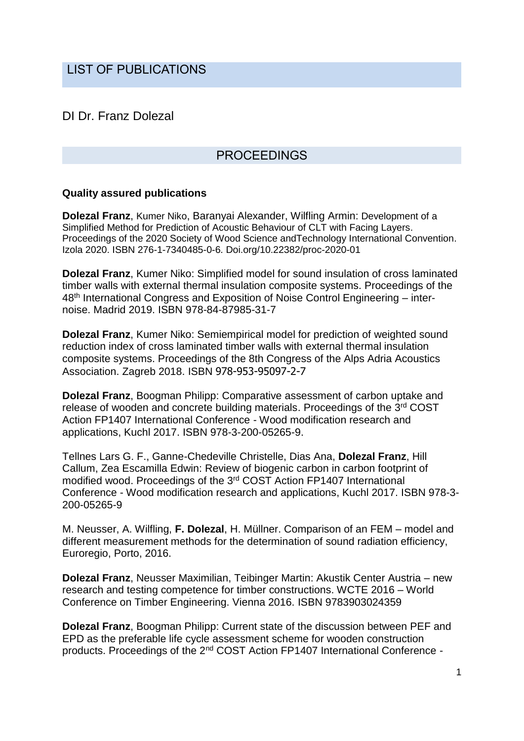# LIST OF PUBLICATIONS

## DI Dr. Franz Dolezal

## PROCEEDINGS

#### **Quality assured publications**

**Dolezal Franz**, Kumer Niko, Baranyai Alexander, Wilfling Armin: Development of a Simplified Method for Prediction of Acoustic Behaviour of CLT with Facing Layers. Proceedings of the 2020 Society of Wood Science andTechnology International Convention. Izola 2020. ISBN 276-1-7340485-0-6. Doi.org/10.22382/proc-2020-01

**Dolezal Franz**, Kumer Niko: Simplified model for sound insulation of cross laminated timber walls with external thermal insulation composite systems. Proceedings of the 48th International Congress and Exposition of Noise Control Engineering – internoise. Madrid 2019. ISBN 978-84-87985-31-7

**Dolezal Franz**, Kumer Niko: Semiempirical model for prediction of weighted sound reduction index of cross laminated timber walls with external thermal insulation composite systems. Proceedings of the 8th Congress of the Alps Adria Acoustics Association. Zagreb 2018. ISBN 978-953-95097-2-7

**Dolezal Franz**, Boogman Philipp: Comparative assessment of carbon uptake and release of wooden and concrete building materials. Proceedings of the 3<sup>rd</sup> COST Action FP1407 International Conference - Wood modification research and applications, Kuchl 2017. ISBN 978-3-200-05265-9.

Tellnes Lars G. F., Ganne-Chedeville Christelle, Dias Ana, **Dolezal Franz**, Hill Callum, Zea Escamilla Edwin: Review of biogenic carbon in carbon footprint of modified wood. Proceedings of the 3<sup>rd</sup> COST Action FP1407 International Conference - Wood modification research and applications, Kuchl 2017. ISBN 978-3- 200-05265-9

M. Neusser, A. Wilfling, **F. Dolezal**, H. Müllner. Comparison of an FEM – model and different measurement methods for the determination of sound radiation efficiency, Euroregio, Porto, 2016.

**Dolezal Franz**, Neusser Maximilian, Teibinger Martin: Akustik Center Austria – new research and testing competence for timber constructions. WCTE 2016 – World Conference on Timber Engineering. Vienna 2016. ISBN 9783903024359

**Dolezal Franz**, Boogman Philipp: Current state of the discussion between PEF and EPD as the preferable life cycle assessment scheme for wooden construction products. Proceedings of the 2nd COST Action FP1407 International Conference -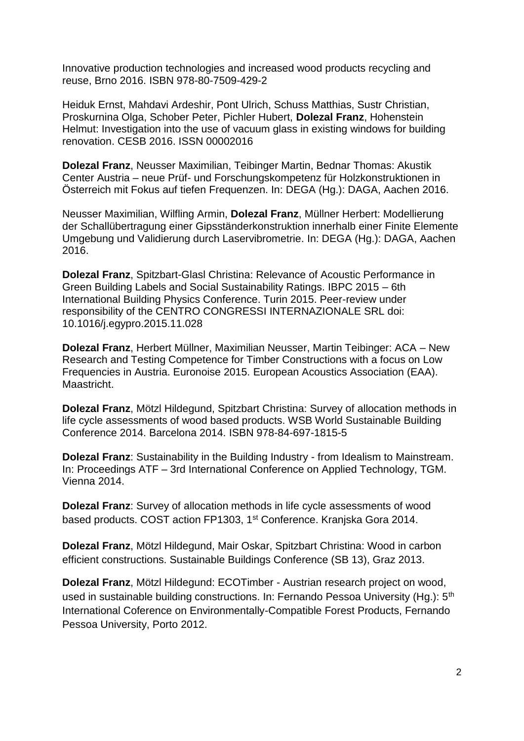Innovative production technologies and increased wood products recycling and reuse, Brno 2016. ISBN 978-80-7509-429-2

Heiduk Ernst, Mahdavi Ardeshir, Pont Ulrich, Schuss Matthias, Sustr Christian, Proskurnina Olga, Schober Peter, Pichler Hubert, **Dolezal Franz**, Hohenstein Helmut: Investigation into the use of vacuum glass in existing windows for building renovation. CESB 2016. ISSN 00002016

**Dolezal Franz**, Neusser Maximilian, Teibinger Martin, Bednar Thomas: Akustik Center Austria – neue Prüf- und Forschungskompetenz für Holzkonstruktionen in Österreich mit Fokus auf tiefen Frequenzen. In: DEGA (Hg.): DAGA, Aachen 2016.

Neusser Maximilian, Wilfling Armin, **Dolezal Franz**, Müllner Herbert: Modellierung der Schallübertragung einer Gipsständerkonstruktion innerhalb einer Finite Elemente Umgebung und Validierung durch Laservibrometrie. In: DEGA (Hg.): DAGA, Aachen 2016.

**Dolezal Franz**, Spitzbart-Glasl Christina: Relevance of Acoustic Performance in Green Building Labels and Social Sustainability Ratings. IBPC 2015 – 6th International Building Physics Conference. Turin 2015. Peer-review under responsibility of the CENTRO CONGRESSI INTERNAZIONALE SRL doi: 10.1016/j.egypro.2015.11.028

**Dolezal Franz**, Herbert Müllner, Maximilian Neusser, Martin Teibinger: ACA – New Research and Testing Competence for Timber Constructions with a focus on Low Frequencies in Austria. Euronoise 2015. European Acoustics Association (EAA). Maastricht.

**Dolezal Franz**, Mötzl Hildegund, Spitzbart Christina: Survey of allocation methods in life cycle assessments of wood based products. WSB World Sustainable Building Conference 2014. Barcelona 2014. ISBN 978-84-697-1815-5

**Dolezal Franz**: Sustainability in the Building Industry - from Idealism to Mainstream. In: Proceedings ATF – 3rd International Conference on Applied Technology, TGM. Vienna 2014.

**Dolezal Franz**: Survey of allocation methods in life cycle assessments of wood based products. COST action FP1303, 1<sup>st</sup> Conference. Kranjska Gora 2014.

**Dolezal Franz**, Mötzl Hildegund, Mair Oskar, Spitzbart Christina: Wood in carbon efficient constructions. Sustainable Buildings Conference (SB 13), Graz 2013.

**Dolezal Franz**, Mötzl Hildegund: ECOTimber - Austrian research project on wood, used in sustainable building constructions. In: Fernando Pessoa University (Hg.): 5<sup>th</sup> International Coference on Environmentally-Compatible Forest Products, Fernando Pessoa University, Porto 2012.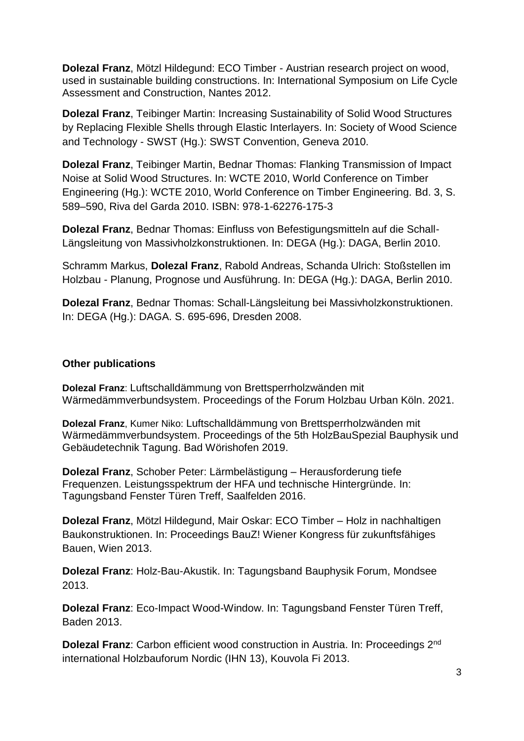**Dolezal Franz**, Mötzl Hildegund: ECO Timber - Austrian research project on wood, used in sustainable building constructions. In: International Symposium on Life Cycle Assessment and Construction, Nantes 2012.

**Dolezal Franz**, Teibinger Martin: Increasing Sustainability of Solid Wood Structures by Replacing Flexible Shells through Elastic Interlayers. In: Society of Wood Science and Technology - SWST (Hg.): SWST Convention, Geneva 2010.

**Dolezal Franz**, Teibinger Martin, Bednar Thomas: Flanking Transmission of Impact Noise at Solid Wood Structures. In: WCTE 2010, World Conference on Timber Engineering (Hg.): WCTE 2010, World Conference on Timber Engineering. Bd. 3, S. 589–590, Riva del Garda 2010. ISBN: 978-1-62276-175-3

**Dolezal Franz**, Bednar Thomas: Einfluss von Befestigungsmitteln auf die Schall-Längsleitung von Massivholzkonstruktionen. In: DEGA (Hg.): DAGA, Berlin 2010.

Schramm Markus, **Dolezal Franz**, Rabold Andreas, Schanda Ulrich: Stoßstellen im Holzbau - Planung, Prognose und Ausführung. In: DEGA (Hg.): DAGA, Berlin 2010.

**Dolezal Franz**, Bednar Thomas: Schall-Längsleitung bei Massivholzkonstruktionen. In: DEGA (Hg.): DAGA. S. 695-696, Dresden 2008.

#### **Other publications**

**Dolezal Franz**: Luftschalldämmung von Brettsperrholzwänden mit Wärmedämmverbundsystem. Proceedings of the Forum Holzbau Urban Köln. 2021.

**Dolezal Franz**, Kumer Niko: Luftschalldämmung von Brettsperrholzwänden mit Wärmedämmverbundsystem. Proceedings of the 5th HolzBauSpezial Bauphysik und Gebäudetechnik Tagung. Bad Wörishofen 2019.

**Dolezal Franz**, Schober Peter: Lärmbelästigung – Herausforderung tiefe Frequenzen. Leistungsspektrum der HFA und technische Hintergründe. In: Tagungsband Fenster Türen Treff, Saalfelden 2016.

**Dolezal Franz**, Mötzl Hildegund, Mair Oskar: ECO Timber – Holz in nachhaltigen Baukonstruktionen. In: Proceedings BauZ! Wiener Kongress für zukunftsfähiges Bauen, Wien 2013.

**Dolezal Franz**: Holz-Bau-Akustik. In: Tagungsband Bauphysik Forum, Mondsee 2013.

**Dolezal Franz**: Eco-Impact Wood-Window. In: Tagungsband Fenster Türen Treff, Baden 2013.

**Dolezal Franz**: Carbon efficient wood construction in Austria. In: Proceedings 2nd international Holzbauforum Nordic (IHN 13), Kouvola Fi 2013.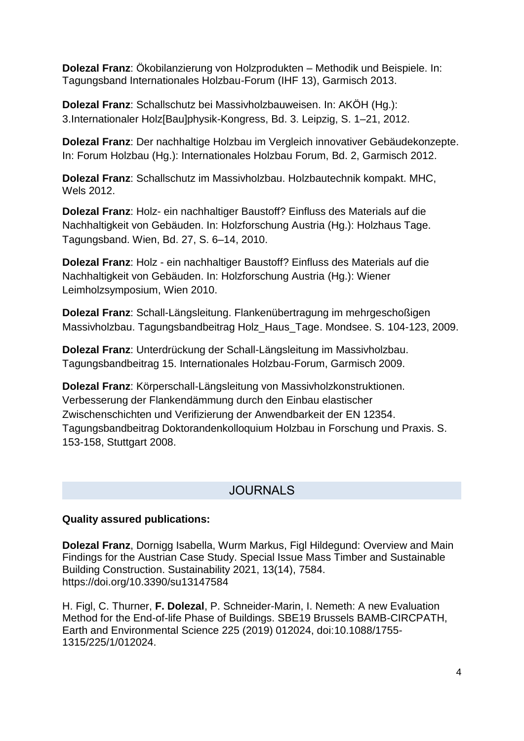**Dolezal Franz**: Ökobilanzierung von Holzprodukten – Methodik und Beispiele. In: Tagungsband Internationales Holzbau-Forum (IHF 13), Garmisch 2013.

**Dolezal Franz**: Schallschutz bei Massivholzbauweisen. In: AKÖH (Hg.): 3.Internationaler Holz[Bau]physik-Kongress, Bd. 3. Leipzig, S. 1–21, 2012.

**Dolezal Franz**: Der nachhaltige Holzbau im Vergleich innovativer Gebäudekonzepte. In: Forum Holzbau (Hg.): Internationales Holzbau Forum, Bd. 2, Garmisch 2012.

**Dolezal Franz**: Schallschutz im Massivholzbau. Holzbautechnik kompakt. MHC, Wels 2012.

**Dolezal Franz**: Holz- ein nachhaltiger Baustoff? Einfluss des Materials auf die Nachhaltigkeit von Gebäuden. In: Holzforschung Austria (Hg.): Holzhaus Tage. Tagungsband. Wien, Bd. 27, S. 6–14, 2010.

**Dolezal Franz**: Holz - ein nachhaltiger Baustoff? Einfluss des Materials auf die Nachhaltigkeit von Gebäuden. In: Holzforschung Austria (Hg.): Wiener Leimholzsymposium, Wien 2010.

**Dolezal Franz**: Schall-Längsleitung. Flankenübertragung im mehrgeschoßigen Massivholzbau. Tagungsbandbeitrag Holz\_Haus\_Tage. Mondsee. S. 104-123, 2009.

**Dolezal Franz**: Unterdrückung der Schall-Längsleitung im Massivholzbau. Tagungsbandbeitrag 15. Internationales Holzbau-Forum, Garmisch 2009.

**Dolezal Franz**: Körperschall-Längsleitung von Massivholzkonstruktionen. Verbesserung der Flankendämmung durch den Einbau elastischer Zwischenschichten und Verifizierung der Anwendbarkeit der EN 12354. Tagungsbandbeitrag Doktorandenkolloquium Holzbau in Forschung und Praxis. S. 153-158, Stuttgart 2008.

# **JOURNALS**

#### **Quality assured publications:**

**Dolezal Franz**, Dornigg Isabella, Wurm Markus, Figl Hildegund: Overview and Main Findings for the Austrian Case Study. Special Issue Mass Timber and Sustainable Building Construction. Sustainability 2021, 13(14), 7584. https://doi.org/10.3390/su13147584

H. Figl, C. Thurner, **F. Dolezal**, P. Schneider-Marin, I. Nemeth: A new Evaluation Method for the End-of-life Phase of Buildings. SBE19 Brussels BAMB-CIRCPATH, Earth and Environmental Science 225 (2019) 012024, doi:10.1088/1755- 1315/225/1/012024.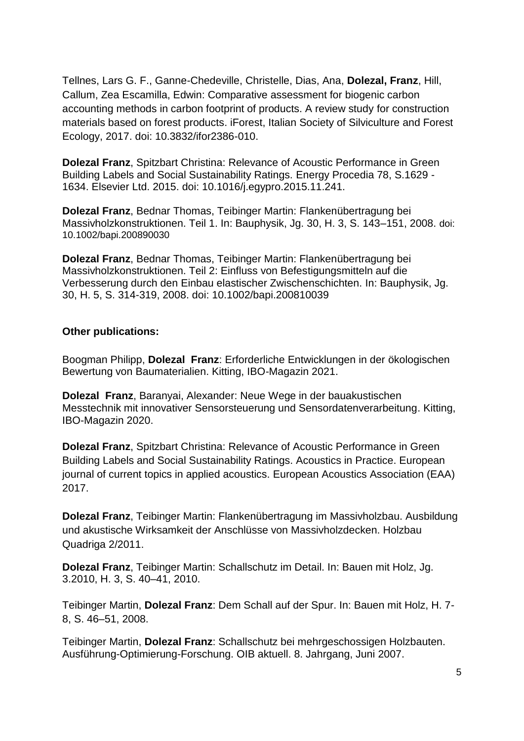Tellnes, Lars G. F., Ganne-Chedeville, Christelle, Dias, Ana, **Dolezal, Franz**, Hill, Callum, Zea Escamilla, Edwin: Comparative assessment for biogenic carbon accounting methods in carbon footprint of products. A review study for construction materials based on forest products. iForest, Italian Society of Silviculture and Forest Ecology, 2017. doi: 10.3832/ifor2386-010.

**Dolezal Franz**, Spitzbart Christina: Relevance of Acoustic Performance in Green Building Labels and Social Sustainability Ratings. Energy Procedia 78, S.1629 - 1634. Elsevier Ltd. 2015. doi: 10.1016/j.egypro.2015.11.241.

**Dolezal Franz**, Bednar Thomas, Teibinger Martin: Flankenübertragung bei Massivholzkonstruktionen. Teil 1. In: Bauphysik, Jg. 30, H. 3, S. 143–151, 2008. doi: 10.1002/bapi.200890030

**Dolezal Franz**, Bednar Thomas, Teibinger Martin: Flankenübertragung bei Massivholzkonstruktionen. Teil 2: Einfluss von Befestigungsmitteln auf die Verbesserung durch den Einbau elastischer Zwischenschichten. In: Bauphysik, Jg. 30, H. 5, S. 314-319, 2008. doi: 10.1002/bapi.200810039

#### **Other publications:**

Boogman Philipp, **Dolezal Franz**: Erforderliche Entwicklungen in der ökologischen Bewertung von Baumaterialien. Kitting, IBO-Magazin 2021.

**Dolezal Franz**, Baranyai, Alexander: Neue Wege in der bauakustischen Messtechnik mit innovativer Sensorsteuerung und Sensordatenverarbeitung. Kitting, IBO-Magazin 2020.

**Dolezal Franz**, Spitzbart Christina: Relevance of Acoustic Performance in Green Building Labels and Social Sustainability Ratings. Acoustics in Practice. European journal of current topics in applied acoustics. European Acoustics Association (EAA) 2017.

**Dolezal Franz**, Teibinger Martin: Flankenübertragung im Massivholzbau. Ausbildung und akustische Wirksamkeit der Anschlüsse von Massivholzdecken. Holzbau Quadriga 2/2011.

**Dolezal Franz**, Teibinger Martin: Schallschutz im Detail. In: Bauen mit Holz, Jg. 3.2010, H. 3, S. 40–41, 2010.

Teibinger Martin, **Dolezal Franz**: Dem Schall auf der Spur. In: Bauen mit Holz, H. 7- 8, S. 46–51, 2008.

Teibinger Martin, **Dolezal Franz**: Schallschutz bei mehrgeschossigen Holzbauten. Ausführung-Optimierung-Forschung. OIB aktuell. 8. Jahrgang, Juni 2007.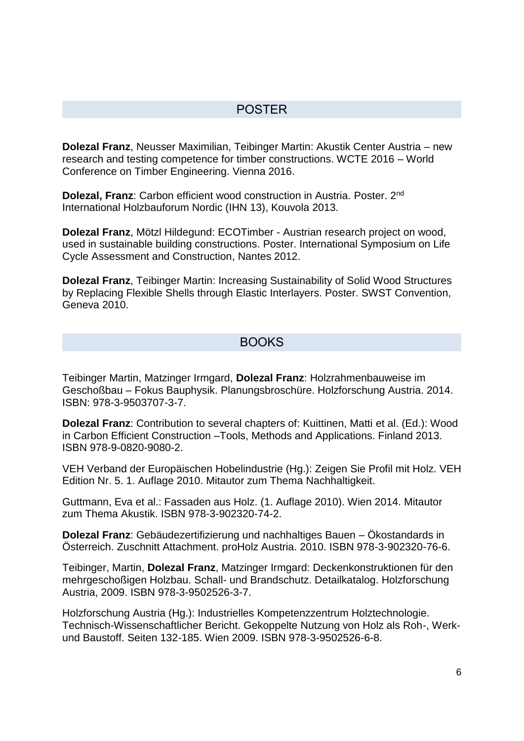## POSTER

**Dolezal Franz**, Neusser Maximilian, Teibinger Martin: Akustik Center Austria – new research and testing competence for timber constructions. WCTE 2016 – World Conference on Timber Engineering. Vienna 2016.

**Dolezal, Franz**: Carbon efficient wood construction in Austria. Poster. 2nd International Holzbauforum Nordic (IHN 13), Kouvola 2013.

**Dolezal Franz**, Mötzl Hildegund: ECOTimber - Austrian research project on wood, used in sustainable building constructions. Poster. International Symposium on Life Cycle Assessment and Construction, Nantes 2012.

**Dolezal Franz**, Teibinger Martin: Increasing Sustainability of Solid Wood Structures by Replacing Flexible Shells through Elastic Interlayers. Poster. SWST Convention, Geneva 2010.

### **BOOKS**

Teibinger Martin, Matzinger Irmgard, **Dolezal Franz**: Holzrahmenbauweise im Geschoßbau – Fokus Bauphysik. Planungsbroschüre. Holzforschung Austria. 2014. ISBN: 978-3-9503707-3-7.

**Dolezal Franz**: Contribution to several chapters of: Kuittinen, Matti et al. (Ed.): Wood in Carbon Efficient Construction –Tools, Methods and Applications. Finland 2013. ISBN 978-9-0820-9080-2.

VEH Verband der Europäischen Hobelindustrie (Hg.): Zeigen Sie Profil mit Holz. VEH Edition Nr. 5. 1. Auflage 2010. Mitautor zum Thema Nachhaltigkeit.

Guttmann, Eva et al.: Fassaden aus Holz. (1. Auflage 2010). Wien 2014. Mitautor zum Thema Akustik. ISBN 978-3-902320-74-2.

**Dolezal Franz**: Gebäudezertifizierung und nachhaltiges Bauen – Ökostandards in Österreich. Zuschnitt Attachment. proHolz Austria. 2010. ISBN 978-3-902320-76-6.

Teibinger, Martin, **Dolezal Franz**, Matzinger Irmgard: Deckenkonstruktionen für den mehrgeschoßigen Holzbau. Schall- und Brandschutz. Detailkatalog. Holzforschung Austria, 2009. ISBN 978-3-9502526-3-7.

Holzforschung Austria (Hg.): Industrielles Kompetenzzentrum Holztechnologie. Technisch-Wissenschaftlicher Bericht. Gekoppelte Nutzung von Holz als Roh-, Werkund Baustoff. Seiten 132-185. Wien 2009. ISBN 978-3-9502526-6-8.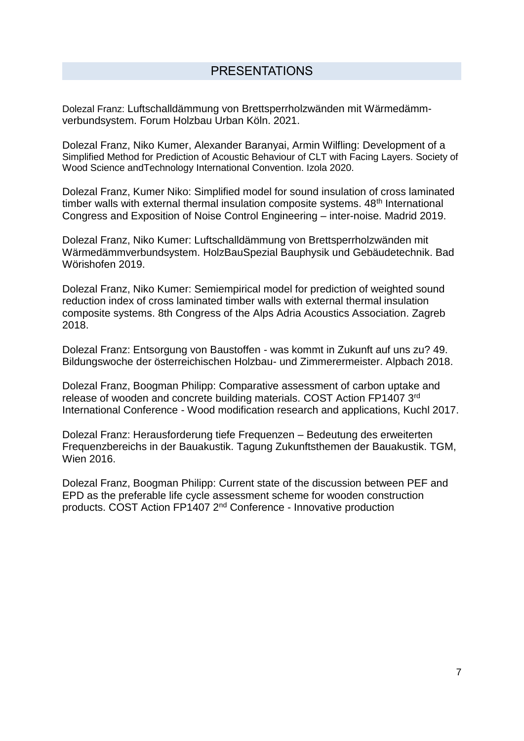Dolezal Franz: Luftschalldämmung von Brettsperrholzwänden mit Wärmedämmverbundsystem. Forum Holzbau Urban Köln. 2021.

Dolezal Franz, Niko Kumer, Alexander Baranyai, Armin Wilfling: Development of a Simplified Method for Prediction of Acoustic Behaviour of CLT with Facing Layers. Society of Wood Science andTechnology International Convention. Izola 2020.

Dolezal Franz, Kumer Niko: Simplified model for sound insulation of cross laminated timber walls with external thermal insulation composite systems. 48<sup>th</sup> International Congress and Exposition of Noise Control Engineering – inter-noise. Madrid 2019.

Dolezal Franz, Niko Kumer: Luftschalldämmung von Brettsperrholzwänden mit Wärmedämmverbundsystem. HolzBauSpezial Bauphysik und Gebäudetechnik. Bad Wörishofen 2019.

Dolezal Franz, Niko Kumer: Semiempirical model for prediction of weighted sound reduction index of cross laminated timber walls with external thermal insulation composite systems. 8th Congress of the Alps Adria Acoustics Association. Zagreb 2018.

Dolezal Franz: Entsorgung von Baustoffen - was kommt in Zukunft auf uns zu? 49. Bildungswoche der österreichischen Holzbau- und Zimmerermeister. Alpbach 2018.

Dolezal Franz, Boogman Philipp: Comparative assessment of carbon uptake and release of wooden and concrete building materials. COST Action FP1407 3rd International Conference - Wood modification research and applications, Kuchl 2017.

Dolezal Franz: Herausforderung tiefe Frequenzen – Bedeutung des erweiterten Frequenzbereichs in der Bauakustik. Tagung Zukunftsthemen der Bauakustik. TGM, Wien 2016.

Dolezal Franz, Boogman Philipp: Current state of the discussion between PEF and EPD as the preferable life cycle assessment scheme for wooden construction products. COST Action FP1407 2nd Conference - Innovative production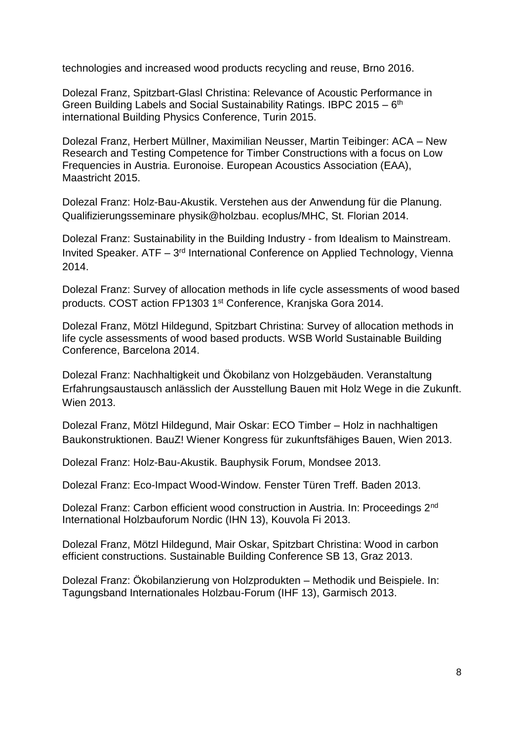technologies and increased wood products recycling and reuse, Brno 2016.

Dolezal Franz, Spitzbart-Glasl Christina: Relevance of Acoustic Performance in Green Building Labels and Social Sustainability Ratings. IBPC 2015 - 6<sup>th</sup> international Building Physics Conference, Turin 2015.

Dolezal Franz, Herbert Müllner, Maximilian Neusser, Martin Teibinger: ACA – New Research and Testing Competence for Timber Constructions with a focus on Low Frequencies in Austria. Euronoise. European Acoustics Association (EAA), Maastricht 2015.

Dolezal Franz: Holz-Bau-Akustik. Verstehen aus der Anwendung für die Planung. Qualifizierungsseminare physik@holzbau. ecoplus/MHC, St. Florian 2014.

Dolezal Franz: Sustainability in the Building Industry - from Idealism to Mainstream. Invited Speaker. ATF - 3<sup>rd</sup> International Conference on Applied Technology, Vienna 2014.

Dolezal Franz: Survey of allocation methods in life cycle assessments of wood based products. COST action FP1303 1st Conference, Kranjska Gora 2014.

Dolezal Franz, Mötzl Hildegund, Spitzbart Christina: Survey of allocation methods in life cycle assessments of wood based products. WSB World Sustainable Building Conference, Barcelona 2014.

Dolezal Franz: Nachhaltigkeit und Ökobilanz von Holzgebäuden. Veranstaltung Erfahrungsaustausch anlässlich der Ausstellung Bauen mit Holz Wege in die Zukunft. Wien 2013.

Dolezal Franz, Mötzl Hildegund, Mair Oskar: ECO Timber – Holz in nachhaltigen Baukonstruktionen. BauZ! Wiener Kongress für zukunftsfähiges Bauen, Wien 2013.

Dolezal Franz: Holz-Bau-Akustik. Bauphysik Forum, Mondsee 2013.

Dolezal Franz: Eco-Impact Wood-Window. Fenster Türen Treff. Baden 2013.

Dolezal Franz: Carbon efficient wood construction in Austria. In: Proceedings 2nd International Holzbauforum Nordic (IHN 13), Kouvola Fi 2013.

Dolezal Franz, Mötzl Hildegund, Mair Oskar, Spitzbart Christina: Wood in carbon efficient constructions. Sustainable Building Conference SB 13, Graz 2013.

Dolezal Franz: Ökobilanzierung von Holzprodukten – Methodik und Beispiele. In: Tagungsband Internationales Holzbau-Forum (IHF 13), Garmisch 2013.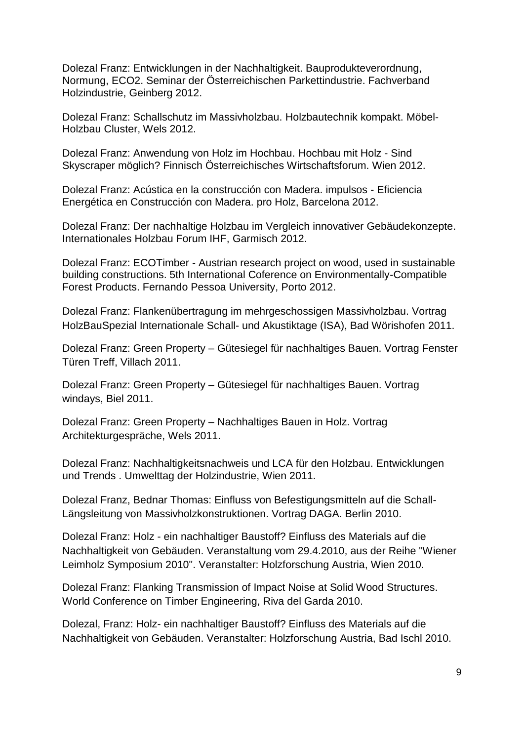Dolezal Franz: Entwicklungen in der Nachhaltigkeit. Bauprodukteverordnung, Normung, ECO2. Seminar der Österreichischen Parkettindustrie. Fachverband Holzindustrie, Geinberg 2012.

Dolezal Franz: Schallschutz im Massivholzbau. Holzbautechnik kompakt. Möbel-Holzbau Cluster, Wels 2012.

Dolezal Franz: Anwendung von Holz im Hochbau. Hochbau mit Holz - Sind Skyscraper möglich? Finnisch Österreichisches Wirtschaftsforum. Wien 2012.

Dolezal Franz: Acústica en la construcción con Madera. impulsos - Eficiencia Energética en Construcción con Madera. pro Holz, Barcelona 2012.

Dolezal Franz: Der nachhaltige Holzbau im Vergleich innovativer Gebäudekonzepte. Internationales Holzbau Forum IHF, Garmisch 2012.

Dolezal Franz: ECOTimber - Austrian research project on wood, used in sustainable building constructions. 5th International Coference on Environmentally-Compatible Forest Products. Fernando Pessoa University, Porto 2012.

Dolezal Franz: Flankenübertragung im mehrgeschossigen Massivholzbau. Vortrag HolzBauSpezial Internationale Schall- und Akustiktage (ISA), Bad Wörishofen 2011.

Dolezal Franz: Green Property – Gütesiegel für nachhaltiges Bauen. Vortrag Fenster Türen Treff, Villach 2011.

Dolezal Franz: Green Property – Gütesiegel für nachhaltiges Bauen. Vortrag windays, Biel 2011.

Dolezal Franz: Green Property – Nachhaltiges Bauen in Holz. Vortrag Architekturgespräche, Wels 2011.

Dolezal Franz: Nachhaltigkeitsnachweis und LCA für den Holzbau. Entwicklungen und Trends . Umwelttag der Holzindustrie, Wien 2011.

Dolezal Franz, Bednar Thomas: Einfluss von Befestigungsmitteln auf die Schall-Längsleitung von Massivholzkonstruktionen. Vortrag DAGA. Berlin 2010.

Dolezal Franz: Holz - ein nachhaltiger Baustoff? Einfluss des Materials auf die Nachhaltigkeit von Gebäuden. Veranstaltung vom 29.4.2010, aus der Reihe "Wiener Leimholz Symposium 2010". Veranstalter: Holzforschung Austria, Wien 2010.

Dolezal Franz: Flanking Transmission of Impact Noise at Solid Wood Structures. World Conference on Timber Engineering, Riva del Garda 2010.

Dolezal, Franz: Holz- ein nachhaltiger Baustoff? Einfluss des Materials auf die Nachhaltigkeit von Gebäuden. Veranstalter: Holzforschung Austria, Bad Ischl 2010.